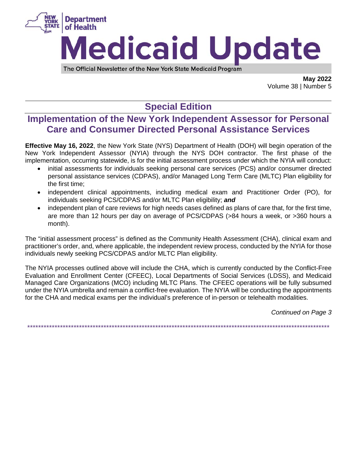

The Official Newsletter of the New York State Medicaid Program

**May 2022** Volume 38 | Number 5

# **Special Edition**

### Implementation of the New York Independent Assessor for Personal **Care and Consumer Directed Personal Assistance Services**

**Effective May 16, 2022**, the New York State (NYS) Department of Health (DOH) will begin operation of the New York Independent Assessor (NYIA) through the NYS DOH contractor. The first phase of the implementation, occurring statewide, is for the initial assessment process under which the NYIA will conduct:

- initial assessments for individuals seeking personal care services (PCS) and/or consumer directed personal assistance services (CDPAS), and/or Managed Long Term Care (MLTC) Plan eligibility for the first time:
- independent clinical appointments, including medical exam and Practitioner Order (PO), for individuals seeking PCS/CDPAS and/or MLTC Plan eligibility; and
- independent plan of care reviews for high needs cases defined as plans of care that, for the first time, are more than 12 hours per day on average of PCS/CDPAS (>84 hours a week, or >360 hours a month).

The "initial assessment process" is defined as the Community Health Assessment (CHA), clinical exam and practitioner's order, and, where applicable, the independent review process, conducted by the NYIA for those individuals newly seeking PCS/CDPAS and/or MLTC Plan eligibility.

The NYIA processes outlined above will include the CHA, which is currently conducted by the Conflict-Free Evaluation and Enrollment Center (CFEEC), Local Departments of Social Services (LDSS), and Medicaid Managed Care Organizations (MCO) including MLTC Plans. The CFEEC operations will be fully subsumed under the NYIA umbrella and remain a conflict-free evaluation. The NYIA will be conducting the appointments for the CHA and medical exams per the individual's preference of in-person or telehealth modalities.

Continued on Page 3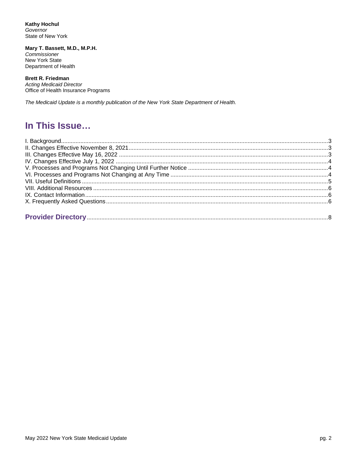**Kathy Hochul** Governor State of New York

Mary T. Bassett, M.D., M.P.H. Commissioner New York State Department of Health

#### **Brett R. Friedman**

**Acting Medicaid Director** Office of Health Insurance Programs

The Medicaid Update is a monthly publication of the New York State Department of Health.

## In This Issue...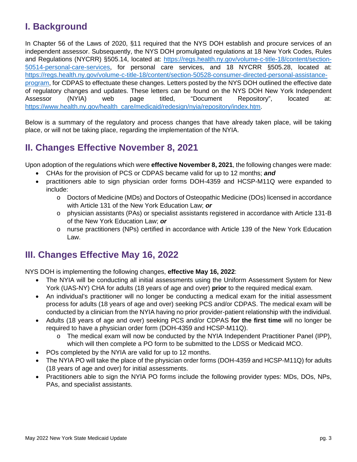# **I. Background**

In Chapter 56 of the Laws of 2020, §11 required that the NYS DOH establish and procure services of an independent assessor. Subsequently, the NYS DOH promulgated regulations at 18 New York Codes, Rules and Regulations (NYCRR) §505.14, located at: [https://regs.health.ny.gov/volume-c-title-18/content/section-](https://regs.health.ny.gov/volume-c-title-18/content/section-50514-personal-care-services)[50514-personal-care-services,](https://regs.health.ny.gov/volume-c-title-18/content/section-50514-personal-care-services) for personal care services, and 18 NYCRR §505.28, located at: [https://regs.health.ny.gov/volume-c-title-18/content/section-50528-consumer-directed-personal-assistance](https://regs.health.ny.gov/volume-c-title-18/content/section-50528-consumer-directed-personal-assistance-program)[program,](https://regs.health.ny.gov/volume-c-title-18/content/section-50528-consumer-directed-personal-assistance-program) for CDPAS to effectuate these changes. Letters posted by the NYS DOH outlined the effective date of regulatory changes and updates. These letters can be found on the NYS DOH New York Independent Assessor (NYIA) web page titled, "Document Repository", located at: [https://www.health.ny.gov/health\\_care/medicaid/redesign/nyia/repository/index.htm.](https://www.health.ny.gov/health_care/medicaid/redesign/nyia/repository/index.htm)

Below is a summary of the regulatory and process changes that have already taken place, will be taking place, or will not be taking place, regarding the implementation of the NYIA.

## **II. Changes Effective November 8, 2021**

Upon adoption of the regulations which were **effective November 8, 2021**, the following changes were made:

- CHAs for the provision of PCS or CDPAS became valid for up to 12 months; *and*
- practitioners able to sign physician order forms DOH-4359 and HCSP-M11Q were expanded to include:
	- o Doctors of Medicine (MDs) and Doctors of Osteopathic Medicine (DOs) licensed in accordance with Article 131 of the New York Education Law; *or*
	- o physician assistants (PAs) or specialist assistants registered in accordance with Article 131-B of the New York Education Law; *or*
	- o nurse practitioners (NPs) certified in accordance with Article 139 of the New York Education Law.

## **III. Changes Effective May 16, 2022**

NYS DOH is implementing the following changes, **effective May 16, 2022**:

- The NYIA will be conducting all initial assessments using the Uniform Assessment System for New York (UAS-NY) CHA for adults (18 years of age and over) **prior** to the required medical exam.
- An individual's practitioner will no longer be conducting a medical exam for the initial assessment process for adults (18 years of age and over) seeking PCS and/or CDPAS. The medical exam will be conducted by a clinician from the NYIA having no prior provider-patient relationship with the individual.
- Adults (18 years of age and over) seeking PCS and/or CDPAS **for the first time** will no longer be required to have a physician order form (DOH-4359 and HCSP-M11Q).
	- $\circ$  The medical exam will now be conducted by the NYIA Independent Practitioner Panel (IPP), which will then complete a PO form to be submitted to the LDSS or Medicaid MCO.
- POs completed by the NYIA are valid for up to 12 months.
- The NYIA PO will take the place of the physician order forms (DOH-4359 and HCSP-M11Q) for adults (18 years of age and over) for initial assessments.
- Practitioners able to sign the NYIA PO forms include the following provider types: MDs, DOs, NPs, PAs, and specialist assistants.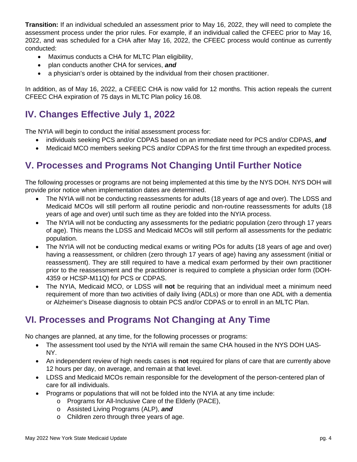**Transition:** If an individual scheduled an assessment prior to May 16, 2022, they will need to complete the assessment process under the prior rules. For example, if an individual called the CFEEC prior to May 16, 2022, and was scheduled for a CHA after May 16, 2022, the CFEEC process would continue as currently conducted:

- Maximus conducts a CHA for MLTC Plan eligibility,
- plan conducts another CHA for services, *and*
- a physician's order is obtained by the individual from their chosen practitioner.

In addition, as of May 16, 2022, a CFEEC CHA is now valid for 12 months. This action repeals the current CFEEC CHA expiration of 75 days in MLTC Plan policy 16.08.

# **IV. Changes Effective July 1, 2022**

The NYIA will begin to conduct the initial assessment process for:

- individuals seeking PCS and/or CDPAS based on an immediate need for PCS and/or CDPAS, *and*
- Medicaid MCO members seeking PCS and/or CDPAS for the first time through an expedited process.

# **V. Processes and Programs Not Changing Until Further Notice**

The following processes or programs are not being implemented at this time by the NYS DOH. NYS DOH will provide prior notice when implementation dates are determined.

- The NYIA will not be conducting reassessments for adults (18 years of age and over). The LDSS and Medicaid MCOs will still perform all routine periodic and non-routine reassessments for adults (18 years of age and over) until such time as they are folded into the NYIA process.
- The NYIA will not be conducting any assessments for the pediatric population (zero through 17 years of age). This means the LDSS and Medicaid MCOs will still perform all assessments for the pediatric population.
- The NYIA will not be conducting medical exams or writing POs for adults (18 years of age and over) having a reassessment, or children (zero through 17 years of age) having any assessment (initial or reassessment). They are still required to have a medical exam performed by their own practitioner prior to the reassessment and the practitioner is required to complete a physician order form (DOH-4359 or HCSP-M11Q) for PCS or CDPAS.
- The NYIA, Medicaid MCO, or LDSS will **not** be requiring that an individual meet a minimum need requirement of more than two activities of daily living (ADLs) or more than one ADL with a dementia or Alzheimer's Disease diagnosis to obtain PCS and/or CDPAS or to enroll in an MLTC Plan.

# **VI. Processes and Programs Not Changing at Any Time**

No changes are planned, at any time, for the following processes or programs:

- The assessment tool used by the NYIA will remain the same CHA housed in the NYS DOH UAS-NY.
- An independent review of high needs cases is **not** required for plans of care that are currently above 12 hours per day, on average, and remain at that level.
- LDSS and Medicaid MCOs remain responsible for the development of the person-centered plan of care for all individuals.
- Programs or populations that will not be folded into the NYIA at any time include:
	- o Programs for All-Inclusive Care of the Elderly (PACE),
	- o Assisted Living Programs (ALP), *and*
	- o Children zero through three years of age.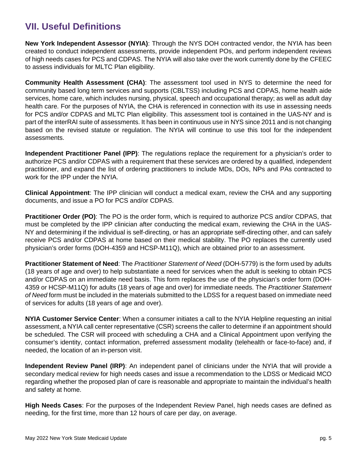# **VII. Useful Definitions**

**New York Independent Assessor (NYIA)**: Through the NYS DOH contracted vendor, the NYIA has been created to conduct independent assessments, provide independent POs, and perform independent reviews of high needs cases for PCS and CDPAS. The NYIA will also take over the work currently done by the CFEEC to assess individuals for MLTC Plan eligibility.

**Community Health Assessment (CHA)**: The assessment tool used in NYS to determine the need for community based long term services and supports (CBLTSS) including PCS and CDPAS, home health aide services, home care, which includes nursing, physical, speech and occupational therapy; as well as adult day health care. For the purposes of NYIA, the CHA is referenced in connection with its use in assessing needs for PCS and/or CDPAS and MLTC Plan eligibility. This assessment tool is contained in the UAS-NY and is part of the interRAI suite of assessments. It has been in continuous use in NYS since 2011 and is not changing based on the revised statute or regulation. The NYIA will continue to use this tool for the independent assessments.

**Independent Practitioner Panel (IPP)**: The regulations replace the requirement for a physician's order to authorize PCS and/or CDPAS with a requirement that these services are ordered by a qualified, independent practitioner, and expand the list of ordering practitioners to include MDs, DOs, NPs and PAs contracted to work for the IPP under the NYIA.

**Clinical Appointment**: The IPP clinician will conduct a medical exam, review the CHA and any supporting documents, and issue a PO for PCS and/or CDPAS.

**Practitioner Order (PO)**: The PO is the order form, which is required to authorize PCS and/or CDPAS, that must be completed by the IPP clinician after conducting the medical exam, reviewing the CHA in the UAS-NY and determining if the individual is self-directing, or has an appropriate self-directing other, and can safely receive PCS and/or CDPAS at home based on their medical stability. The PO replaces the currently used physician's order forms (DOH-4359 and HCSP-M11Q), which are obtained prior to an assessment.

**Practitioner Statement of Need**: The *Practitioner Statement of Need* (DOH-5779) is the form used by adults (18 years of age and over) to help substantiate a need for services when the adult is seeking to obtain PCS and/or CDPAS on an immediate need basis. This form replaces the use of the physician's order form (DOH-4359 or HCSP-M11Q) for adults (18 years of age and over) for immediate needs. The *Practitioner Statement of Need* form must be included in the materials submitted to the LDSS for a request based on immediate need of services for adults (18 years of age and over).

**NYIA Customer Service Center**: When a consumer initiates a call to the NYIA Helpline requesting an initial assessment, a NYIA call center representative (CSR) screens the caller to determine if an appointment should be scheduled. The CSR will proceed with scheduling a CHA and a Clinical Appointment upon verifying the consumer's identity, contact information, preferred assessment modality (telehealth or face-to-face) and, if needed, the location of an in-person visit.

**Independent Review Panel (IRP)**: An independent panel of clinicians under the NYIA that will provide a secondary medical review for high needs cases and issue a recommendation to the LDSS or Medicaid MCO regarding whether the proposed plan of care is reasonable and appropriate to maintain the individual's health and safety at home.

**High Needs Cases**: For the purposes of the Independent Review Panel, high needs cases are defined as needing, for the first time, more than 12 hours of care per day, on average.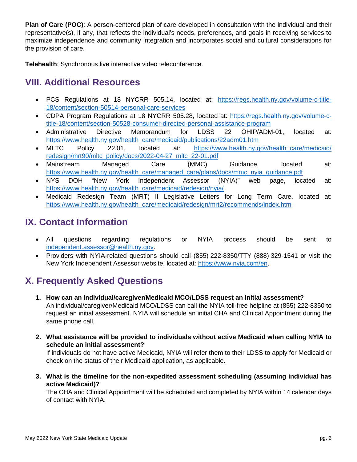**Plan of Care (POC)**: A person-centered plan of care developed in consultation with the individual and their representative(s), if any, that reflects the individual's needs, preferences, and goals in receiving services to maximize independence and community integration and incorporates social and cultural considerations for the provision of care.

**Telehealth**: Synchronous live interactive video teleconference.

## **VIII. Additional Resources**

- PCS Regulations at 18 NYCRR 505.14, located at: [https://regs.health.ny.gov/volume-c-title-](https://regs.health.ny.gov/volume-c-title-18/content/section-50514-personal-care-services)[18/content/section-50514-personal-care-services](https://regs.health.ny.gov/volume-c-title-18/content/section-50514-personal-care-services)
- CDPA Program Regulations at 18 NYCRR 505.28, located at: [https://regs.health.ny.gov/volume-c](https://regs.health.ny.gov/volume-c-title-18/content/section-50528-consumer-directed-personal-assistance-program)[title-18/content/section-50528-consumer-directed-personal-assistance-program](https://regs.health.ny.gov/volume-c-title-18/content/section-50528-consumer-directed-personal-assistance-program)
- Administrative Directive Memorandum for LDSS 22 OHIP/ADM-01, located at: [https://www.health.ny.gov/health\\_care/medicaid/publications/22adm01.htm](https://www.health.ny.gov/health_care/medicaid/publications/22adm01.htm)
- MLTC Policy 22.01, located at: [https://www.health.ny.gov/health\\_care/medicaid/](https://www.health.ny.gov/health_care/medicaid/redesign/mrt90/mltc_policy/docs/2022-04-27_mltc_22-01.pdf) [redesign/mrt90/mltc\\_policy/docs/2022-04-27\\_mltc\\_22-01.pdf](https://www.health.ny.gov/health_care/medicaid/redesign/mrt90/mltc_policy/docs/2022-04-27_mltc_22-01.pdf)
- Mainstream Managed Care (MMC) Guidance, located at: [https://www.health.ny.gov/health\\_care/managed\\_care/plans/docs/mmc\\_nyia\\_guidance.pdf](https://www.health.ny.gov/health_care/managed_care/plans/docs/mmc_nyia_guidance.pdf)
- NYS DOH "New York Independent Assessor (NYIA)" web page, located at: [https://www.health.ny.gov/health\\_care/medicaid/redesign/nyia/](https://www.health.ny.gov/health_care/medicaid/redesign/nyia/)
- Medicaid Redesign Team (MRT) II Legislative Letters for Long Term Care, located at: [https://www.health.ny.gov/health\\_care/medicaid/redesign/mrt2/recommends/index.htm](https://www.health.ny.gov/health_care/medicaid/redesign/mrt2/recommends/index.htm)

# **IX. Contact Information**

- All questions regarding regulations or NYIA process should be sent to [independent.assessor@health.ny.gov.](mailto:independent.assessor@health.ny.gov)
- Providers with NYIA-related questions should call (855) 222-8350/TTY (888) 329-1541 or visit the New York Independent Assessor website, located at: [https://www.nyia.com/en.](https://www.nyia.com/en)

# **X. Frequently Asked Questions**

- **1. How can an individual/caregiver/Medicaid MCO/LDSS request an initial assessment?** An individual/caregiver/Medicaid MCO/LDSS can call the NYIA toll-free helpline at (855) 222-8350 to request an initial assessment. NYIA will schedule an initial CHA and Clinical Appointment during the same phone call.
- **2. What assistance will be provided to individuals without active Medicaid when calling NYIA to schedule an initial assessment?** If individuals do not have active Medicaid, NYIA will refer them to their LDSS to apply for Medicaid or

check on the status of their Medicaid application, as applicable.

**3. What is the timeline for the non-expedited assessment scheduling (assuming individual has active Medicaid)?**

The CHA and Clinical Appointment will be scheduled and completed by NYIA within 14 calendar days of contact with NYIA.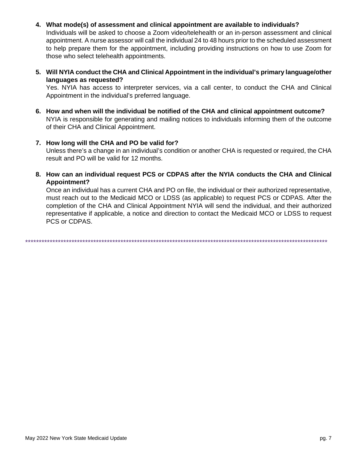### 4. What mode(s) of assessment and clinical appointment are available to individuals?

Individuals will be asked to choose a Zoom video/telehealth or an in-person assessment and clinical appointment. A nurse assessor will call the individual 24 to 48 hours prior to the scheduled assessment to help prepare them for the appointment, including providing instructions on how to use Zoom for those who select telehealth appointments.

5. Will NYIA conduct the CHA and Clinical Appointment in the individual's primary language/other languages as requested?

Yes. NYIA has access to interpreter services, via a call center, to conduct the CHA and Clinical Appointment in the individual's preferred language.

- 6. How and when will the individual be notified of the CHA and clinical appointment outcome? NYIA is responsible for generating and mailing notices to individuals informing them of the outcome of their CHA and Clinical Appointment.
- 7. How long will the CHA and PO be valid for?

Unless there's a change in an individual's condition or another CHA is requested or required, the CHA result and PO will be valid for 12 months.

8. How can an individual request PCS or CDPAS after the NYIA conducts the CHA and Clinical Appointment?

Once an individual has a current CHA and PO on file, the individual or their authorized representative, must reach out to the Medicaid MCO or LDSS (as applicable) to request PCS or CDPAS. After the completion of the CHA and Clinical Appointment NYIA will send the individual, and their authorized representative if applicable, a notice and direction to contact the Medicaid MCO or LDSS to request PCS or CDPAS.